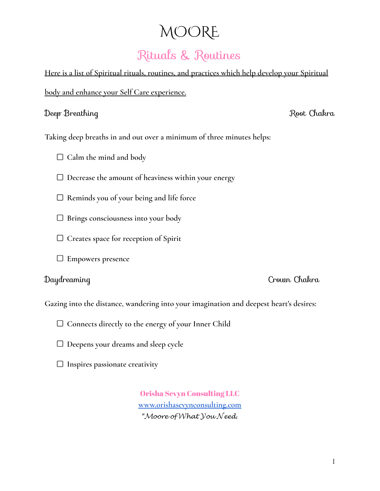# MOORE

# Rituals & Routines

**Here is a list of Spiritual rituals, routines, and practices which help develop your Spiritual body and enhance your Self Care experience.**

### Deep Breathing Root Chakra

**Taking deep breaths in and out over a minimum of three minutes helps:**

- **Calm the mind and body**
- **Decrease the amount of heaviness within your energy**
- **Reminds you of your being and life force**
- **Brings consciousness into your body**
- **Creates space for reception of Spirit**
- **Empowers presence**

Daydreaming Crown Chakra

**Gazing into the distance, wandering into your imagination and deepest heart's desires:**

- **Connects directly to the energy of your Inner Child**
- **Deepens your dreams and sleep cycle**
- **Inspires passionate creativity**

Orisha Sevyn Consulting LLC **[www.orishasevynconsulting.com](http://www.orishasevynconsulting.com) " .**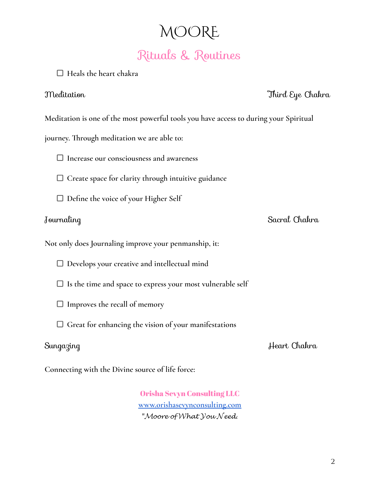## MOORE

## Rituals & Routines

**Heals the heart chakra**

Meditation Third Eye Chakra

**Meditation is one of the most powerful tools you have access to during your Spiritual**

**journey. Through meditation we are able to:**

**Increase our consciousness and awareness**

**Create space for clarity through intuitive guidance**

**Define the voice of your Higher Self**

## Journaling Sacral Chakra

**Not only does Journaling improve your penmanship, it:**

**Develops your creative and intellectual mind**

- **Is the time and space to express your most vulnerable self**
- **Improves the recall of memory**
- **Great for enhancing the vision of your manifestations**

Sungazing Heart Chakra

**Connecting with the Divine source of life force:**

Orisha Sevyn Consulting LLC **[www.orishasevynconsulting.com](http://www.orishasevynconsulting.com)** "Moore of What  $\mathcal Y$ ou Need.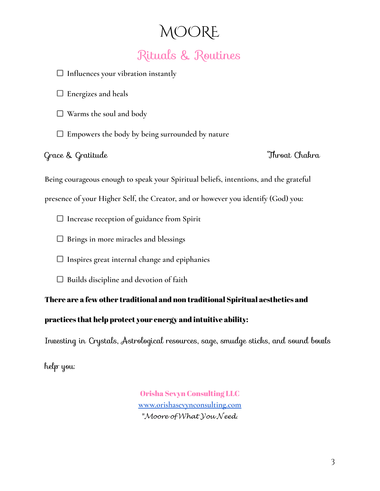## MOORE Rituals & Routines

**Influences your vibration instantly**

**Energizes and heals**

**Warms the soul and body**

**Empowers the body by being surrounded by nature**

Grace & Gratitude Throat Chakra

**Being courageous enough to speak your Spiritual beliefs, intentions, and the grateful**

**presence of your Higher Self, the Creator, and or however you identify (God) you:**

**Increase reception of guidance from Spirit**

**Brings in more miracles and blessings**

**Inspires great internal change and epiphanies**

**Builds discipline and devotion of faith**

There are a few other traditional and non traditional Spiritual aesthetics and

practices that help protect your energy and intuitive ability:

Investing in Crystals, Astrological resources, sage, smudge sticks, and sound bowls

help you:

Orisha Sevyn Consulting LLC **[www.orishasevynconsulting.com](http://www.orishasevynconsulting.com) " .**